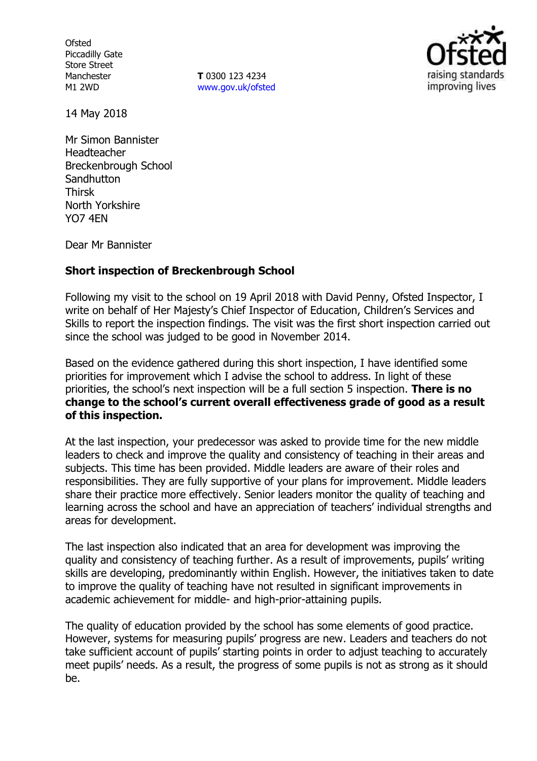**Ofsted** Piccadilly Gate Store Street Manchester M1 2WD

**T** 0300 123 4234 www.gov.uk/ofsted



14 May 2018

Mr Simon Bannister Headteacher Breckenbrough School **Sandhutton** Thirsk North Yorkshire YO7 4EN

Dear Mr Bannister

## **Short inspection of Breckenbrough School**

Following my visit to the school on 19 April 2018 with David Penny, Ofsted Inspector, I write on behalf of Her Majesty's Chief Inspector of Education, Children's Services and Skills to report the inspection findings. The visit was the first short inspection carried out since the school was judged to be good in November 2014.

Based on the evidence gathered during this short inspection, I have identified some priorities for improvement which I advise the school to address. In light of these priorities, the school's next inspection will be a full section 5 inspection. **There is no change to the school's current overall effectiveness grade of good as a result of this inspection.**

At the last inspection, your predecessor was asked to provide time for the new middle leaders to check and improve the quality and consistency of teaching in their areas and subjects. This time has been provided. Middle leaders are aware of their roles and responsibilities. They are fully supportive of your plans for improvement. Middle leaders share their practice more effectively. Senior leaders monitor the quality of teaching and learning across the school and have an appreciation of teachers' individual strengths and areas for development.

The last inspection also indicated that an area for development was improving the quality and consistency of teaching further. As a result of improvements, pupils' writing skills are developing, predominantly within English. However, the initiatives taken to date to improve the quality of teaching have not resulted in significant improvements in academic achievement for middle- and high-prior-attaining pupils.

The quality of education provided by the school has some elements of good practice. However, systems for measuring pupils' progress are new. Leaders and teachers do not take sufficient account of pupils' starting points in order to adjust teaching to accurately meet pupils' needs. As a result, the progress of some pupils is not as strong as it should be.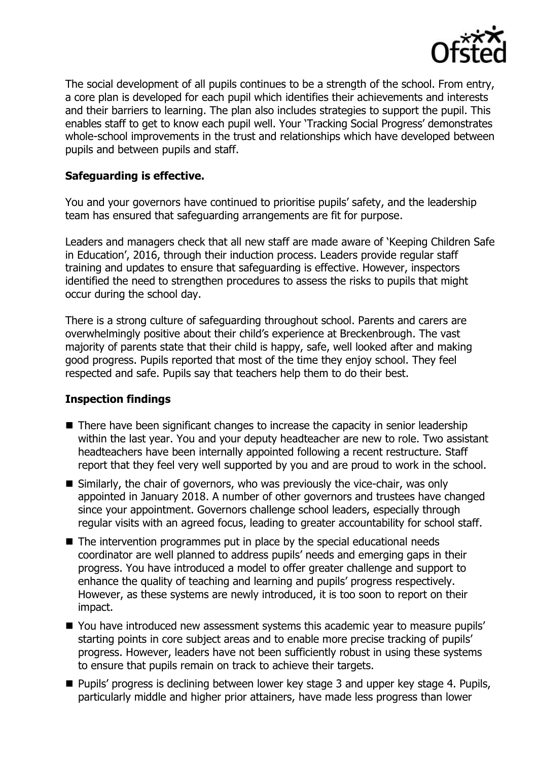

The social development of all pupils continues to be a strength of the school. From entry, a core plan is developed for each pupil which identifies their achievements and interests and their barriers to learning. The plan also includes strategies to support the pupil. This enables staff to get to know each pupil well. Your 'Tracking Social Progress' demonstrates whole-school improvements in the trust and relationships which have developed between pupils and between pupils and staff.

# **Safeguarding is effective.**

You and your governors have continued to prioritise pupils' safety, and the leadership team has ensured that safeguarding arrangements are fit for purpose.

Leaders and managers check that all new staff are made aware of 'Keeping Children Safe in Education', 2016, through their induction process. Leaders provide regular staff training and updates to ensure that safeguarding is effective. However, inspectors identified the need to strengthen procedures to assess the risks to pupils that might occur during the school day.

There is a strong culture of safeguarding throughout school. Parents and carers are overwhelmingly positive about their child's experience at Breckenbrough. The vast majority of parents state that their child is happy, safe, well looked after and making good progress. Pupils reported that most of the time they enjoy school. They feel respected and safe. Pupils say that teachers help them to do their best.

## **Inspection findings**

- $\blacksquare$  There have been significant changes to increase the capacity in senior leadership within the last year. You and your deputy headteacher are new to role. Two assistant headteachers have been internally appointed following a recent restructure. Staff report that they feel very well supported by you and are proud to work in the school.
- Similarly, the chair of governors, who was previously the vice-chair, was only appointed in January 2018. A number of other governors and trustees have changed since your appointment. Governors challenge school leaders, especially through regular visits with an agreed focus, leading to greater accountability for school staff.
- The intervention programmes put in place by the special educational needs coordinator are well planned to address pupils' needs and emerging gaps in their progress. You have introduced a model to offer greater challenge and support to enhance the quality of teaching and learning and pupils' progress respectively. However, as these systems are newly introduced, it is too soon to report on their impact.
- You have introduced new assessment systems this academic year to measure pupils' starting points in core subject areas and to enable more precise tracking of pupils' progress. However, leaders have not been sufficiently robust in using these systems to ensure that pupils remain on track to achieve their targets.
- Pupils' progress is declining between lower key stage 3 and upper key stage 4. Pupils, particularly middle and higher prior attainers, have made less progress than lower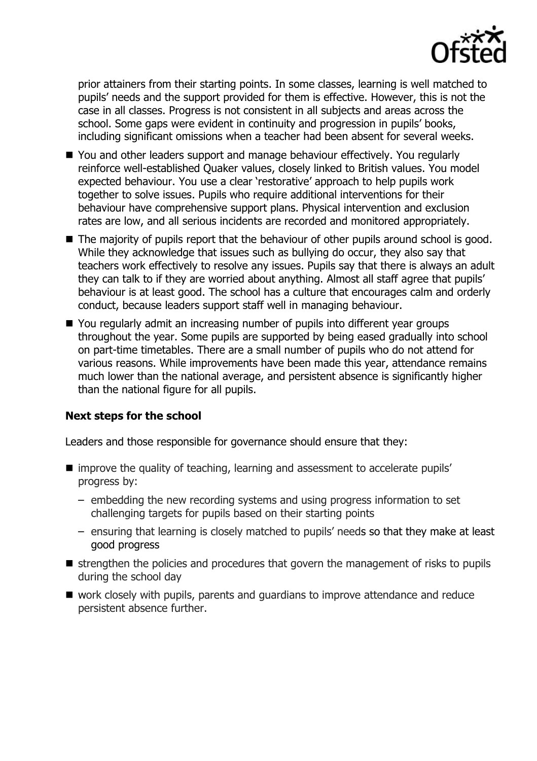

prior attainers from their starting points. In some classes, learning is well matched to pupils' needs and the support provided for them is effective. However, this is not the case in all classes. Progress is not consistent in all subjects and areas across the school. Some gaps were evident in continuity and progression in pupils' books, including significant omissions when a teacher had been absent for several weeks.

- You and other leaders support and manage behaviour effectively. You regularly reinforce well-established Quaker values, closely linked to British values. You model expected behaviour. You use a clear 'restorative' approach to help pupils work together to solve issues. Pupils who require additional interventions for their behaviour have comprehensive support plans. Physical intervention and exclusion rates are low, and all serious incidents are recorded and monitored appropriately.
- The majority of pupils report that the behaviour of other pupils around school is good. While they acknowledge that issues such as bullying do occur, they also say that teachers work effectively to resolve any issues. Pupils say that there is always an adult they can talk to if they are worried about anything. Almost all staff agree that pupils' behaviour is at least good. The school has a culture that encourages calm and orderly conduct, because leaders support staff well in managing behaviour.
- You regularly admit an increasing number of pupils into different year groups throughout the year. Some pupils are supported by being eased gradually into school on part-time timetables. There are a small number of pupils who do not attend for various reasons. While improvements have been made this year, attendance remains much lower than the national average, and persistent absence is significantly higher than the national figure for all pupils.

## **Next steps for the school**

Leaders and those responsible for governance should ensure that they:

- improve the quality of teaching, learning and assessment to accelerate pupils' progress by:
	- embedding the new recording systems and using progress information to set challenging targets for pupils based on their starting points
	- ensuring that learning is closely matched to pupils' needs so that they make at least good progress
- $\blacksquare$  strengthen the policies and procedures that govern the management of risks to pupils during the school day
- work closely with pupils, parents and guardians to improve attendance and reduce persistent absence further.